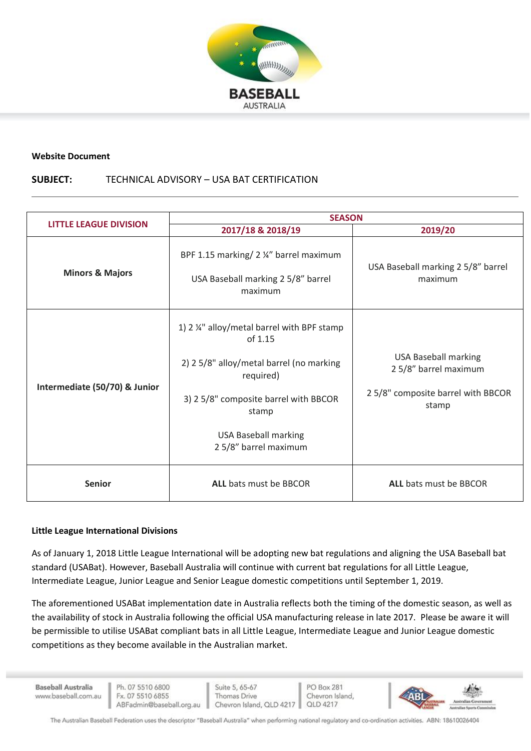

#### **Website Document**

### **SUBJECT:** TECHNICAL ADVISORY – USA BAT CERTIFICATION

| <b>LITTLE LEAGUE DIVISION</b> | <b>SEASON</b>                                                                                                                                                                                                             |                                                                                                    |
|-------------------------------|---------------------------------------------------------------------------------------------------------------------------------------------------------------------------------------------------------------------------|----------------------------------------------------------------------------------------------------|
|                               | 2017/18 & 2018/19                                                                                                                                                                                                         | 2019/20                                                                                            |
| <b>Minors &amp; Majors</b>    | BPF 1.15 marking/ 2 1/4" barrel maximum<br>USA Baseball marking 2 5/8" barrel<br>maximum                                                                                                                                  | USA Baseball marking 2 5/8" barrel<br>maximum                                                      |
| Intermediate (50/70) & Junior | 1) 2 1/4" alloy/metal barrel with BPF stamp<br>of 1.15<br>2) 2 5/8" alloy/metal barrel (no marking<br>required)<br>3) 2 5/8" composite barrel with BBCOR<br>stamp<br><b>USA Baseball marking</b><br>2 5/8" barrel maximum | <b>USA Baseball marking</b><br>2 5/8" barrel maximum<br>25/8" composite barrel with BBCOR<br>stamp |
| <b>Senior</b>                 | <b>ALL</b> bats must be BBCOR                                                                                                                                                                                             | <b>ALL</b> bats must be BBCOR                                                                      |

### **Little League International Divisions**

As of January 1, 2018 Little League International will be adopting new bat regulations and aligning the USA Baseball bat standard (USABat). However, Baseball Australia will continue with current bat regulations for all Little League, Intermediate League, Junior League and Senior League domestic competitions until September 1, 2019.

The aforementioned USABat implementation date in Australia reflects both the timing of the domestic season, as well as the availability of stock in Australia following the official USA manufacturing release in late 2017. Please be aware it will be permissible to utilise USABat compliant bats in all Little League, Intermediate League and Junior League domestic competitions as they become available in the Australian market.

**Baseball Australia** www.baseball.com.au

Suite 5, 65-67 Thomas Drive Chevron Island, QLD 4217

PO Box 281 Chevron Island, QLD 4217



The Australian Baseball Federation uses the descriptor "Baseball Australia" when performing national regulatory and co-ordination activities. ABN: 18610026404